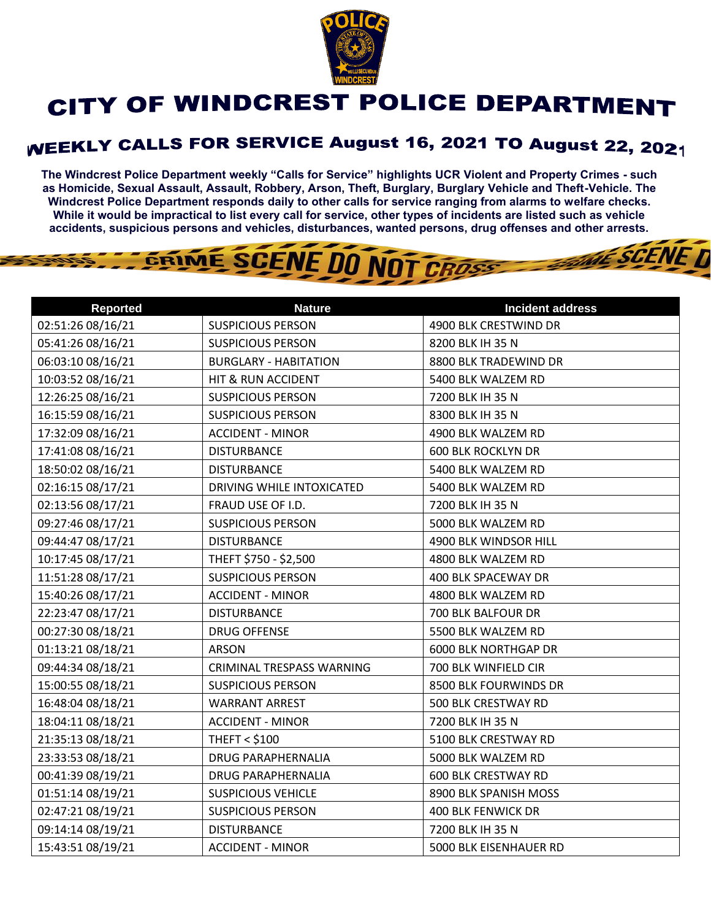

## CITY OF WINDCREST POLICE DEPARTMENT

## **WEEKLY CALLS FOR SERVICE August 16, 2021 TO August 22, 2021**

**The Windcrest Police Department weekly "Calls for Service" highlights UCR Violent and Property Crimes - such as Homicide, Sexual Assault, Assault, Robbery, Arson, Theft, Burglary, Burglary Vehicle and Theft-Vehicle. The Windcrest Police Department responds daily to other calls for service ranging from alarms to welfare checks. While it would be impractical to list every call for service, other types of incidents are listed such as vehicle accidents, suspicious persons and vehicles, disturbances, wanted persons, drug offenses and other arrests.** 

**THE SCENE D** 

## GRIME SCENE DO NOT CROSS

| <b>Reported</b>   | <b>Nature</b>                | <b>Incident address</b>     |
|-------------------|------------------------------|-----------------------------|
| 02:51:26 08/16/21 | <b>SUSPICIOUS PERSON</b>     | 4900 BLK CRESTWIND DR       |
| 05:41:26 08/16/21 | <b>SUSPICIOUS PERSON</b>     | 8200 BLK IH 35 N            |
| 06:03:10 08/16/21 | <b>BURGLARY - HABITATION</b> | 8800 BLK TRADEWIND DR       |
| 10:03:52 08/16/21 | HIT & RUN ACCIDENT           | 5400 BLK WALZEM RD          |
| 12:26:25 08/16/21 | <b>SUSPICIOUS PERSON</b>     | 7200 BLK IH 35 N            |
| 16:15:59 08/16/21 | <b>SUSPICIOUS PERSON</b>     | 8300 BLK IH 35 N            |
| 17:32:09 08/16/21 | <b>ACCIDENT - MINOR</b>      | 4900 BLK WALZEM RD          |
| 17:41:08 08/16/21 | <b>DISTURBANCE</b>           | <b>600 BLK ROCKLYN DR</b>   |
| 18:50:02 08/16/21 | <b>DISTURBANCE</b>           | 5400 BLK WALZEM RD          |
| 02:16:15 08/17/21 | DRIVING WHILE INTOXICATED    | 5400 BLK WALZEM RD          |
| 02:13:56 08/17/21 | FRAUD USE OF I.D.            | 7200 BLK IH 35 N            |
| 09:27:46 08/17/21 | <b>SUSPICIOUS PERSON</b>     | 5000 BLK WALZEM RD          |
| 09:44:47 08/17/21 | <b>DISTURBANCE</b>           | 4900 BLK WINDSOR HILL       |
| 10:17:45 08/17/21 | THEFT \$750 - \$2,500        | 4800 BLK WALZEM RD          |
| 11:51:28 08/17/21 | <b>SUSPICIOUS PERSON</b>     | 400 BLK SPACEWAY DR         |
| 15:40:26 08/17/21 | <b>ACCIDENT - MINOR</b>      | 4800 BLK WALZEM RD          |
| 22:23:47 08/17/21 | <b>DISTURBANCE</b>           | 700 BLK BALFOUR DR          |
| 00:27:30 08/18/21 | <b>DRUG OFFENSE</b>          | 5500 BLK WALZEM RD          |
| 01:13:21 08/18/21 | <b>ARSON</b>                 | <b>6000 BLK NORTHGAP DR</b> |
| 09:44:34 08/18/21 | CRIMINAL TRESPASS WARNING    | 700 BLK WINFIELD CIR        |
| 15:00:55 08/18/21 | <b>SUSPICIOUS PERSON</b>     | 8500 BLK FOURWINDS DR       |
| 16:48:04 08/18/21 | <b>WARRANT ARREST</b>        | 500 BLK CRESTWAY RD         |
| 18:04:11 08/18/21 | <b>ACCIDENT - MINOR</b>      | 7200 BLK IH 35 N            |
| 21:35:13 08/18/21 | <b>THEFT &lt; \$100</b>      | 5100 BLK CRESTWAY RD        |
| 23:33:53 08/18/21 | DRUG PARAPHERNALIA           | 5000 BLK WALZEM RD          |
| 00:41:39 08/19/21 | <b>DRUG PARAPHERNALIA</b>    | <b>600 BLK CRESTWAY RD</b>  |
| 01:51:14 08/19/21 | <b>SUSPICIOUS VEHICLE</b>    | 8900 BLK SPANISH MOSS       |
| 02:47:21 08/19/21 | <b>SUSPICIOUS PERSON</b>     | <b>400 BLK FENWICK DR</b>   |
| 09:14:14 08/19/21 | <b>DISTURBANCE</b>           | 7200 BLK IH 35 N            |
| 15:43:51 08/19/21 | <b>ACCIDENT - MINOR</b>      | 5000 BLK EISENHAUER RD      |